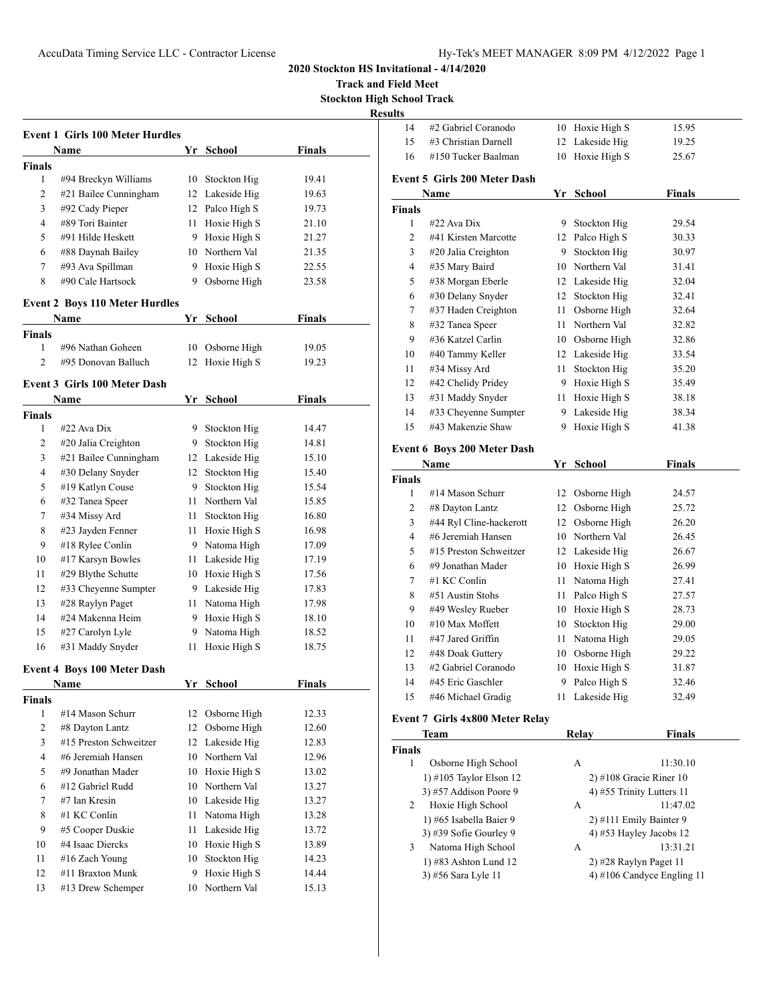**Track and Field Meet Stockton High School Track**

**Resul** 

|                | Name                                  | Yr | <b>School</b>               | <b>Finals</b> |
|----------------|---------------------------------------|----|-----------------------------|---------------|
| Finals         |                                       |    |                             |               |
| 1              | #94 Breckyn Williams                  | 10 | Stockton Hig                | 19.41         |
| $\mathbf{2}$   | #21 Bailee Cunningham                 |    | 12 Lakeside Hig             | 19.63         |
| 3              | #92 Cady Pieper                       |    | 12 Palco High S             | 19.73         |
| 4              | #89 Tori Bainter                      |    | 11 Hoxie High S             | 21.10         |
| 5              | #91 Hilde Heskett                     |    | 9 Hoxie High S              | 21.27         |
| 6              | #88 Daynah Bailey                     |    | 10 Northern Val             | 21.35         |
| 7              | #93 Ava Spillman                      |    | 9 Hoxie High S              | 22.55         |
| 8              | #90 Cale Hartsock                     | 9  | Osborne High                | 23.58         |
|                | <b>Event 2 Boys 110 Meter Hurdles</b> |    |                             |               |
|                | Name                                  |    | Yr School                   | <b>Finals</b> |
| Finals         |                                       |    |                             |               |
| 1              | #96 Nathan Goheen                     | 10 | Osborne High                | 19.05         |
| $\overline{c}$ | #95 Donovan Balluch                   | 12 | Hoxie High S                | 19.23         |
|                | Event 3 Girls 100 Meter Dash          |    |                             |               |
| Finals         | Name                                  |    | Yr School                   | <b>Finals</b> |
| 1              | #22 Ava Dix                           | 9. | Stockton Hig                | 14.47         |
| 2              | #20 Jalia Creighton                   |    | 9 Stockton Hig              | 14.81         |
| 3              | #21 Bailee Cunningham                 |    | 12 Lakeside Hig             | 15.10         |
| 4              | #30 Delany Snyder                     |    | 12 Stockton Hig             | 15.40         |
| 5              | #19 Katlyn Couse                      |    | 9 Stockton Hig              | 15.54         |
| 6              | #32 Tanea Speer                       |    | 11 Northern Val             | 15.85         |
| 7              | #34 Missy Ard                         |    | 11 Stockton Hig             | 16.80         |
| 8              | #23 Jayden Fenner                     |    | 11 Hoxie High S             | 16.98         |
| 9              | #18 Rylee Conlin                      |    | 9 Natoma High               | 17.09         |
| 10             | #17 Karsyn Bowles                     |    | 11 Lakeside Hig             | 17.19         |
| 11             | #29 Blythe Schutte                    |    | 10 Hoxie High S             | 17.56         |
| 12             | #33 Cheyenne Sumpter                  |    | 9 Lakeside Hig              | 17.83         |
| 13             | #28 Raylyn Paget                      |    |                             |               |
|                |                                       |    | 11 Natoma High              | 17.98         |
| 14             | #24 Makenna Heim                      |    | 9 Hoxie High S              | 18.10         |
| 15             | #27 Carolyn Lyle                      |    | 9 Natoma High               | 18.52         |
| 16             | #31 Maddy Snyder                      | 11 | Hoxie High S                | 18.75         |
|                | <b>Event 4 Boys 100 Meter Dash</b>    |    |                             |               |
| Finals         | <b>Name</b>                           | Υr | <u>School</u>               | <u>Finals</u> |
| $\mathbf{1}$   | #14 Mason Schurr                      | 12 | Osborne High                | 12.33         |
| $\overline{c}$ | #8 Dayton Lantz                       | 12 | Osborne High                | 12.60         |
| 3              | #15 Preston Schweitzer                |    | 12 Lakeside Hig             | 12.83         |
| $\overline{4}$ | #6 Jeremiah Hansen                    |    | 10 Northern Val             | 12.96         |
| 5              | #9 Jonathan Mader                     | 10 | Hoxie High S                | 13.02         |
| 6              | #12 Gabriel Rudd                      |    | 10 Northern Val             | 13.27         |
| 7              | #7 Ian Kresin                         | 10 | Lakeside Hig                | 13.27         |
| 8              | #1 KC Conlin                          | 11 |                             |               |
| 9              |                                       | 11 | Natoma High<br>Lakeside Hig | 13.28         |
|                | #5 Cooper Duskie                      |    |                             | 13.72         |
| 10             | #4 Isaac Diercks                      | 10 | Hoxie High S                | 13.89         |
| 11             | #16 Zach Young                        | 10 | Stockton Hig                | 14.23         |
|                | #11 Braxton Munk                      | 9  | Hoxie High S                | 14.44         |
| 12<br>13       | #13 Drew Schemper                     | 10 | Northern Val                | 15.13         |

| ults           |                                                   |    |                                                    |               |
|----------------|---------------------------------------------------|----|----------------------------------------------------|---------------|
| 14             | #2 Gabriel Coranodo                               |    | 10 Hoxie High S                                    | 15.95         |
| 15             | #3 Christian Darnell                              |    | 12 Lakeside Hig                                    | 19.25         |
| 16             | #150 Tucker Baalman                               | 10 | Hoxie High S                                       | 25.67         |
|                | <b>Event 5 Girls 200 Meter Dash</b>               |    |                                                    |               |
|                | Name                                              |    | Yr School                                          | <b>Finals</b> |
| Finals         |                                                   |    |                                                    |               |
| 1              | #22 Ava Dix                                       | 9. | Stockton Hig                                       | 29.54         |
| 2              | #41 Kirsten Marcotte                              |    | 12 Palco High S                                    | 30.33         |
| 3              | #20 Jalia Creighton                               |    | 9 Stockton Hig                                     | 30.97         |
| $\overline{4}$ | #35 Mary Baird                                    |    | 10 Northern Val                                    | 31.41         |
| 5              | #38 Morgan Eberle                                 |    | 12 Lakeside Hig                                    | 32.04         |
| 6              | #30 Delany Snyder                                 |    | 12 Stockton Hig                                    | 32.41         |
| 7              | #37 Haden Creighton                               |    | 11 Osborne High                                    | 32.64         |
| 8              | #32 Tanea Speer                                   |    | 11 Northern Val                                    | 32.82         |
| 9              | #36 Katzel Carlin                                 |    | 10 Osborne High                                    | 32.86         |
| 10             | #40 Tammy Keller                                  |    | 12 Lakeside Hig                                    | 33.54         |
| 11             | #34 Missy Ard                                     | 11 | Stockton Hig                                       | 35.20         |
| 12             | #42 Chelidy Pridey                                |    | 9 Hoxie High S                                     | 35.49         |
| 13             | #31 Maddy Snyder                                  |    | 11 Hoxie High S                                    | 38.18         |
| 14             | #33 Cheyenne Sumpter                              |    | 9 Lakeside Hig                                     | 38.34         |
| 15             | #43 Makenzie Shaw                                 | 9. | Hoxie High S                                       | 41.38         |
|                | <b>Event 6 Boys 200 Meter Dash</b>                |    |                                                    |               |
|                | Name                                              | Yr | School                                             | <b>Finals</b> |
| Finals         |                                                   |    |                                                    |               |
| 1              | #14 Mason Schurr                                  |    | 12 Osborne High                                    | 24.57         |
| 2              | #8 Dayton Lantz                                   |    | 12 Osborne High                                    | 25.72         |
| 3              | #44 Ryl Cline-hackerott                           |    | 12 Osborne High                                    | 26.20         |
| 4              | #6 Jeremiah Hansen                                |    | 10 Northern Val                                    | 26.45         |
| 5              | #15 Preston Schweitzer                            |    | 12 Lakeside Hig                                    | 26.67         |
| 6              | #9 Jonathan Mader                                 |    | 10 Hoxie High S                                    | 26.99         |
| 7              | #1 KC Conlin                                      |    | 11 Natoma High                                     | 27.41         |
| 8              | #51 Austin Stohs                                  |    | 11 Palco High S                                    | 27.57         |
| 9              | #49 Wesley Rueber                                 |    | 10 Hoxie High S                                    | 28.73         |
| 10             | #10 Max Moffett                                   |    | 10 Stockton Hig                                    | 29.00         |
| 11             | #47 Jared Griffin                                 | 11 | Natoma High                                        | 29.05         |
| 12             | #48 Doak Guttery                                  |    | 10 Osborne High                                    | 29.22         |
| 13             | #2 Gabriel Coranodo                               | 10 | Hoxie High S                                       | 31.87         |
| 14             | #45 Eric Gaschler                                 | 9  | Palco High S                                       | 32.46         |
| 15             | #46 Michael Gradig                                | 11 | Lakeside Hig                                       | 32.49         |
|                |                                                   |    |                                                    |               |
|                | <b>Event 7 Girls 4x800 Meter Relay</b>            |    |                                                    |               |
|                | Team                                              |    | Relay                                              | <b>Finals</b> |
| Finals<br>1    |                                                   |    |                                                    |               |
|                | Osborne High School                               |    | A                                                  | 11:30.10      |
|                |                                                   |    |                                                    |               |
|                | 1) #105 Taylor Elson 12                           |    | $2)$ #108 Gracie Riner 10                          |               |
|                | 3) #57 Addison Poore 9                            |    | 4) #55 Trinity Lutters 11                          |               |
| 2              | Hoxie High School                                 |    | А                                                  | 11:47.02      |
|                | 1) #65 Isabella Baier 9<br>3) #39 Sofie Gourley 9 |    | 2) #111 Emily Bainter 9<br>4) #53 Hayley Jacobs 12 |               |

1) #83 Ashton Lund 12 2) #28 Raylyn Paget 11 3) #56 Sara Lyle 11 4) #106 Candyce Engling 11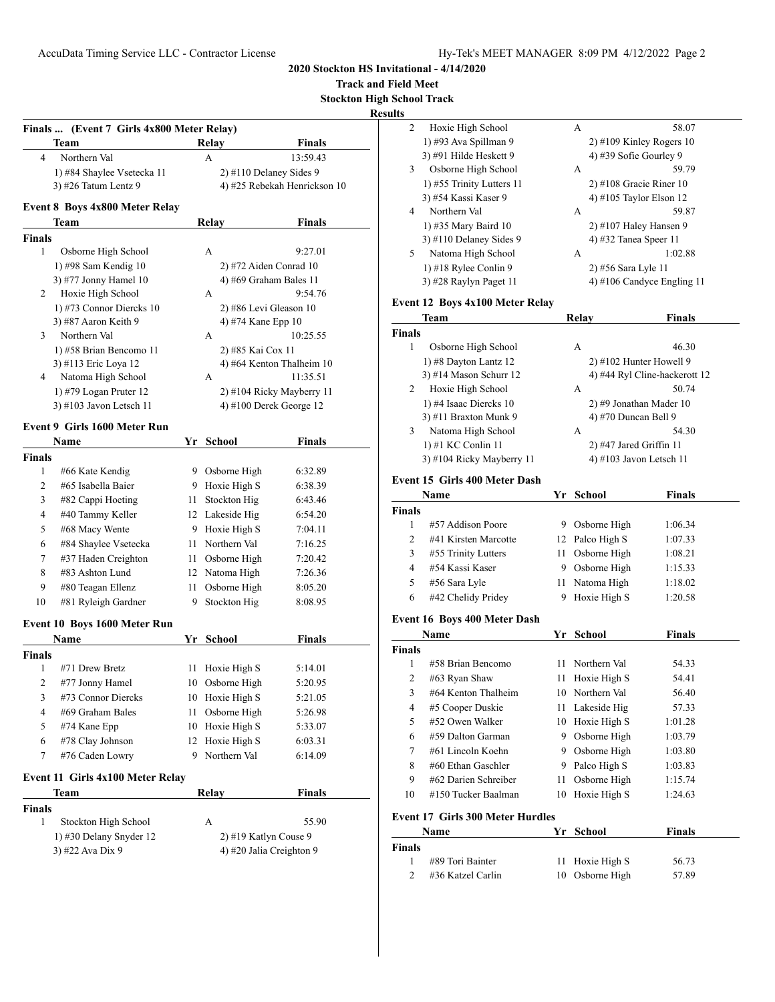**Track and Field Meet**

**Stockton High School Track Results**

|                                             | Finals  (Event 7 Girls 4x800 Meter Relay)     |    |                    |                                   |
|---------------------------------------------|-----------------------------------------------|----|--------------------|-----------------------------------|
|                                             | Team                                          |    | <b>Relay</b>       | Finals                            |
| 4                                           | Northern Val                                  |    | A                  | 13:59.43                          |
|                                             | 1) #84 Shaylee Vsetecka 11                    |    |                    | 2) #110 Delaney Sides 9           |
|                                             | 3) #26 Tatum Lentz 9                          |    |                    | 4) #25 Rebekah Henrickson 10      |
|                                             | Event 8 Boys 4x800 Meter Relay                |    |                    |                                   |
|                                             | Team                                          |    | <b>Relay</b>       | Finals                            |
| <b>Finals</b>                               |                                               |    |                    |                                   |
| 1                                           | Osborne High School                           |    | A                  | 9:27.01                           |
|                                             | 1) #98 Sam Kendig 10                          |    |                    | 2) #72 Aiden Conrad 10            |
| 2                                           | 3) #77 Jonny Hamel 10                         |    | А                  | 4) #69 Graham Bales 11<br>9:54.76 |
|                                             | Hoxie High School<br>1) #73 Connor Diercks 10 |    |                    |                                   |
|                                             | 3) #87 Aaron Keith 9                          |    | 4) #74 Kane Epp 10 | 2) #86 Levi Gleason 10            |
| 3                                           | Northern Val                                  |    | А                  | 10:25.55                          |
|                                             | 1) #58 Brian Bencomo 11                       |    | 2) #85 Kai Cox 11  |                                   |
|                                             | 3) #113 Eric Loya 12                          |    |                    | 4) #64 Kenton Thalheim 10         |
| 4                                           | Natoma High School                            |    | А                  | 11:35.51                          |
|                                             | $1)$ #79 Logan Pruter 12                      |    |                    | 2) #104 Ricky Mayberry 11         |
|                                             | 3) #103 Javon Letsch 11                       |    |                    | $(4)$ #100 Derek George 12        |
|                                             | Event 9 Girls 1600 Meter Run                  |    |                    |                                   |
|                                             | Name                                          |    | Yr School          | <b>Finals</b>                     |
| <b>Finals</b>                               |                                               |    |                    |                                   |
| 1                                           | #66 Kate Kendig                               |    | 9 Osborne High     | 6:32.89                           |
| $\overline{c}$                              | #65 Isabella Baier                            |    | 9 Hoxie High S     | 6:38.39                           |
| 3                                           | #82 Cappi Hoeting                             | 11 | Stockton Hig       | 6:43.46                           |
| 4                                           | #40 Tammy Keller                              |    | 12 Lakeside Hig    | 6:54.20                           |
| 5                                           | #68 Macy Wente                                |    | 9 Hoxie High S     | 7:04.11                           |
| 6                                           | #84 Shaylee Vsetecka                          |    | 11 Northern Val    | 7:16.25                           |
| 7                                           | #37 Haden Creighton                           | 11 | Osborne High       | 7:20.42                           |
| 8                                           | #83 Ashton Lund                               |    | 12 Natoma High     | 7:26.36                           |
| 9                                           | #80 Teagan Ellenz                             | 11 | Osborne High       | 8:05.20                           |
| 10                                          | #81 Ryleigh Gardner                           | 9  | Stockton Hig       | 8:08.95                           |
|                                             | Event 10 Boys 1600 Meter Run                  |    |                    |                                   |
|                                             | Name                                          |    | Yr School          | Finals                            |
| Finals                                      |                                               |    |                    |                                   |
| 1                                           | #71 Drew Bretz                                | 11 | Hoxie High S       | 5:14.01                           |
| $\overline{c}$                              | #77 Jonny Hamel                               | 10 | Osborne High       | 5:20.95                           |
| 3                                           | #73 Connor Diercks                            | 10 | Hoxie High S       | 5:21.05                           |
| $\overline{4}$                              | #69 Graham Bales                              | 11 | Osborne High       | 5:26.98                           |
| 5                                           | #74 Kane Epp                                  |    | 10 Hoxie High S    | 5:33.07                           |
| 6                                           | #78 Clay Johnson                              | 12 | Hoxie High S       | 6:03.31                           |
| 7                                           | #76 Caden Lowry                               | 9. | Northern Val       | 6:14.09                           |
|                                             | Event 11 Girls 4x100 Meter Relay              |    |                    |                                   |
|                                             | Team                                          |    | Relay              | <b>Finals</b>                     |
| <b>Finals</b><br>1                          | Stockton High School                          |    | А                  | 55.90                             |
|                                             |                                               |    |                    | 2) #19 Katlyn Couse 9             |
| 1) #30 Delany Snyder 12<br>3) #22 Ava Dix 9 |                                               |    |                    |                                   |

| นแร           |                                         |         |                         |                               |
|---------------|-----------------------------------------|---------|-------------------------|-------------------------------|
| 2             | Hoxie High School                       |         | А                       | 58.07                         |
|               | 1) #93 Ava Spillman 9                   |         |                         | $2)$ #109 Kinley Rogers 10    |
|               | 3) #91 Hilde Heskett 9                  |         | 4) #39 Sofie Gourley 9  |                               |
| 3             | Osborne High School                     |         | А                       | 59.79                         |
|               | 1) #55 Trinity Lutters 11               |         |                         | $2)$ #108 Gracie Riner 10     |
|               | 3) #54 Kassi Kaser 9                    |         |                         | 4) #105 Taylor Elson 12       |
| 4             | Northern Val                            |         | А                       | 59.87                         |
|               | 1) #35 Mary Baird 10                    |         |                         | 2) #107 Haley Hansen 9        |
|               | 3) #110 Delaney Sides 9                 |         | 4) #32 Tanea Speer 11   |                               |
| 5             | Natoma High School                      |         | А                       | 1:02.88                       |
|               | 1) #18 Rylee Conlin 9                   |         | 2) #56 Sara Lyle 11     |                               |
|               | 3) #28 Raylyn Paget 11                  |         |                         | 4) #106 Candyce Engling 11    |
|               | <b>Event 12 Boys 4x100 Meter Relay</b>  |         |                         |                               |
|               | Team                                    |         | Relay                   | <b>Finals</b>                 |
| <b>Finals</b> |                                         |         |                         |                               |
| 1             | Osborne High School                     |         | А                       | 46.30                         |
|               | 1) #8 Dayton Lantz 12                   |         |                         | 2) #102 Hunter Howell 9       |
|               | 3) #14 Mason Schurr 12                  |         |                         | 4) #44 Ryl Cline-hackerott 12 |
| 2             | Hoxie High School                       |         | А                       | 50.74                         |
|               | 1) #4 Isaac Diercks 10                  |         |                         | 2) #9 Jonathan Mader 10       |
|               | 3) #11 Braxton Munk 9                   |         | 4) #70 Duncan Bell 9    |                               |
| 3             | Natoma High School                      |         | А                       | 54.30                         |
|               | 1) #1 KC Conlin 11                      |         | 2) #47 Jared Griffin 11 |                               |
|               | 3) #104 Ricky Mayberry 11               |         |                         | 4) #103 Javon Letsch 11       |
|               |                                         |         |                         |                               |
|               | Event 15 Girls 400 Meter Dash           |         |                         |                               |
|               | Name                                    |         | Yr School               | <b>Finals</b>                 |
| <b>Finals</b> |                                         |         |                         |                               |
| 1             | #57 Addison Poore                       |         | 9 Osborne High          | 1:06.34                       |
| 2             | #41 Kirsten Marcotte                    |         | 12 Palco High S         | 1:07.33                       |
| 3             | #55 Trinity Lutters                     | 11 -    | Osborne High            | 1:08.21                       |
| 4             | #54 Kassi Kaser                         |         | 9 Osborne High          | 1:15.33                       |
| 5             | #56 Sara Lyle                           | 11      | Natoma High             | 1:18.02                       |
| 6             | #42 Chelidy Pridey                      | 9       | Hoxie High S            | 1:20.58                       |
|               | Event 16 Boys 400 Meter Dash            |         |                         |                               |
|               | Name                                    |         | Yr School               | <b>Finals</b>                 |
| <b>Finals</b> |                                         |         |                         |                               |
| 1             | #58 Brian Bencomo                       | 11 -    | Northern Val            | 54.33                         |
| 2             | #63 Ryan Shaw                           |         | 11 Hoxie High S         | 54.41                         |
| 3             | #64 Kenton Thalheim                     | 10      | Northern Val            | 56.40                         |
| 4             | #5 Cooper Duskie                        | 11      | Lakeside Hig            | 57.33                         |
| 5             | #52 Owen Walker                         | 10      | Hoxie High S            | 1:01.28                       |
| 6             | #59 Dalton Garman                       | 9.      | Osborne High            | 1:03.79                       |
| 7             | #61 Lincoln Koehn                       |         | Osborne High            |                               |
| 8             | #60 Ethan Gaschler                      | 9.<br>9 | Palco High S            | 1:03.80                       |
| 9             | #62 Darien Schreiber                    |         |                         | 1:03.83                       |
|               | #150 Tucker Baalman                     | 11      | Osborne High            | 1:15.74                       |
| 10            |                                         | 10      | Hoxie High S            | 1:24.63                       |
|               | <b>Event 17 Girls 300 Meter Hurdles</b> |         |                         |                               |
|               | Name                                    |         | Yr School               | <b>Finals</b>                 |
| Finals        |                                         |         |                         |                               |
| 1             | #89 Tori Bainter                        | 11      | Hoxie High S            | 56.73                         |
| 2             | #36 Katzel Carlin                       | 10      | Osborne High            | 57.89                         |
|               |                                         |         |                         |                               |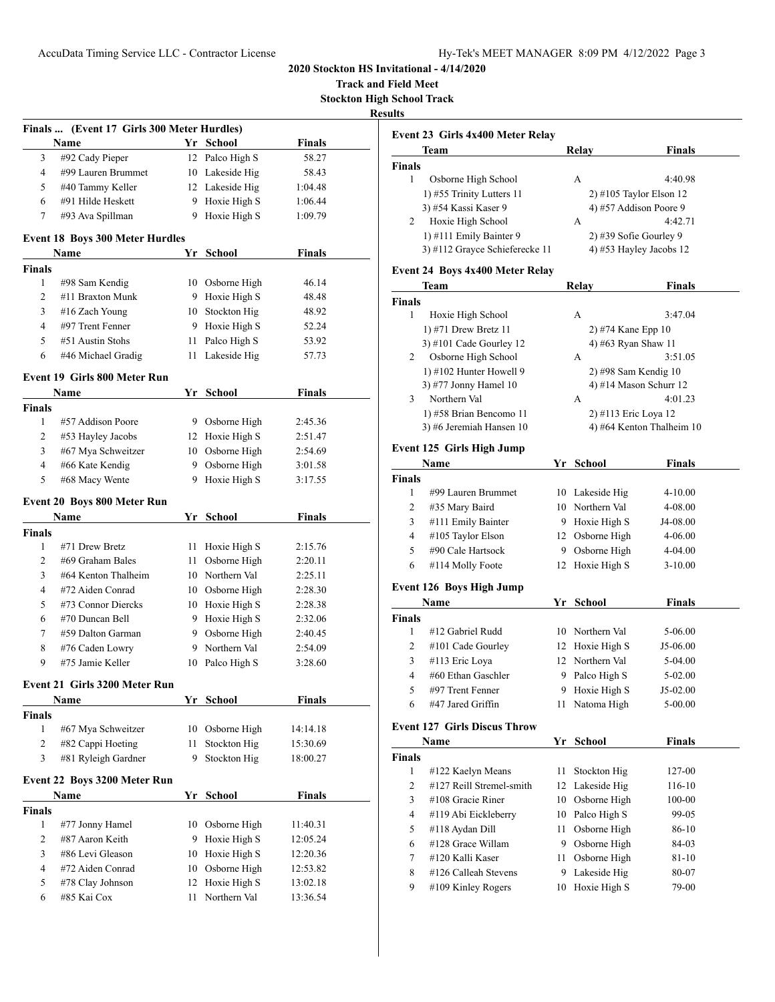**Track and Field Meet Stockton High School Track**

**Resul** 

|                | Finals  (Event 17 Girls 300 Meter Hurdles) |      |                 |               |  |
|----------------|--------------------------------------------|------|-----------------|---------------|--|
|                | <b>Name</b>                                |      | Yr School       | <b>Finals</b> |  |
| 3              | #92 Cady Pieper                            |      | 12 Palco High S | 58.27         |  |
| 4              | #99 Lauren Brummet                         |      | 10 Lakeside Hig | 58.43         |  |
| 5              | #40 Tammy Keller                           |      | 12 Lakeside Hig | 1:04.48       |  |
| 6              | #91 Hilde Heskett                          |      | 9 Hoxie High S  | 1:06.44       |  |
| 7              | #93 Ava Spillman                           |      | 9 Hoxie High S  | 1:09.79       |  |
|                | <b>Event 18 Boys 300 Meter Hurdles</b>     |      |                 |               |  |
|                | Name                                       | Yr   | School          | <b>Finals</b> |  |
| <b>Finals</b>  |                                            |      |                 |               |  |
| 1              | #98 Sam Kendig                             |      | 10 Osborne High | 46.14         |  |
| 2              | #11 Braxton Munk                           |      | 9 Hoxie High S  | 48.48         |  |
| 3              | #16 Zach Young                             |      | 10 Stockton Hig | 48.92         |  |
| $\overline{4}$ | #97 Trent Fenner                           |      | 9 Hoxie High S  | 52.24         |  |
| 5              | #51 Austin Stohs                           | 11 - | Palco High S    | 53.92         |  |
| 6              | #46 Michael Gradig                         | 11   | Lakeside Hig    | 57.73         |  |
|                | <b>Event 19 Girls 800 Meter Run</b>        |      |                 |               |  |
|                | Name                                       |      | Yr School       | <b>Finals</b> |  |
| <b>Finals</b>  |                                            |      |                 |               |  |
| 1              | #57 Addison Poore                          |      | 9 Osborne High  | 2:45.36       |  |
| 2              | #53 Hayley Jacobs                          |      | 12 Hoxie High S | 2:51.47       |  |
| 3              | #67 Mya Schweitzer                         |      | 10 Osborne High | 2:54.69       |  |
| 4              | #66 Kate Kendig                            |      | 9 Osborne High  | 3:01.58       |  |
| 5              | #68 Macy Wente                             | 9    | Hoxie High S    | 3:17.55       |  |
|                | <b>Event 20 Boys 800 Meter Run</b>         |      |                 |               |  |
|                | Name                                       |      | Yr School       | <b>Finals</b> |  |
| <b>Finals</b>  |                                            |      |                 |               |  |
| 1              | #71 Drew Bretz                             | 11 - | Hoxie High S    | 2:15.76       |  |
| 2              | #69 Graham Bales                           | 11 - | Osborne High    | 2:20.11       |  |
| 3              | #64 Kenton Thalheim                        |      | 10 Northern Val | 2:25.11       |  |
| $\overline{4}$ | #72 Aiden Conrad                           |      | 10 Osborne High | 2:28.30       |  |
| 5              | #73 Connor Diercks                         |      | 10 Hoxie High S | 2:28.38       |  |
| 6              | #70 Duncan Bell                            |      | 9 Hoxie High S  | 2:32.06       |  |
| 7              | #59 Dalton Garman                          |      | 9 Osborne High  | 2:40.45       |  |
| 8              | #76 Caden Lowry                            |      | 9 Northern Val  | 2:54.09       |  |
| 9              | #75 Jamie Keller                           | 10   | Palco High S    | 3:28.60       |  |
|                | Event 21 -Girls 3200 Meter Run             |      |                 |               |  |
|                | Name                                       |      | Yr School       | <b>Finals</b> |  |
| <b>Finals</b>  |                                            |      |                 |               |  |
| 1              | #67 Mya Schweitzer                         | 10   | Osborne High    | 14:14.18      |  |
| $\overline{2}$ | #82 Cappi Hoeting                          | 11   | Stockton Hig    | 15:30.69      |  |
| 3              | #81 Ryleigh Gardner                        | 9    | Stockton Hig    | 18:00.27      |  |
|                | <b>Event 22 Boys 3200 Meter Run</b>        |      |                 |               |  |
|                | Name                                       | Yr   | School          | Finals        |  |
| <b>Finals</b>  |                                            |      |                 |               |  |
| 1              | #77 Jonny Hamel                            | 10   | Osborne High    | 11:40.31      |  |
| $\overline{2}$ | #87 Aaron Keith                            | 9    | Hoxie High S    | 12:05.24      |  |
| 3              | #86 Levi Gleason                           |      | 10 Hoxie High S | 12:20.36      |  |
| 4              | #72 Aiden Conrad                           |      | 10 Osborne High | 12:53.82      |  |
| 5              | #78 Clay Johnson                           | 12   | Hoxie High S    | 13:02.18      |  |
| 6              | #85 Kai Cox                                | 11   | Northern Val    | 13:36.54      |  |

|               | Event 23 Girls 4x400 Meter Relay        |    |                          |                           |
|---------------|-----------------------------------------|----|--------------------------|---------------------------|
|               | Team                                    |    | <b>Relay</b>             | <b>Finals</b>             |
| <b>Finals</b> |                                         |    |                          |                           |
| 1             | Osborne High School                     |    | А                        | 4:40.98                   |
|               | 1) #55 Trinity Lutters 11               |    | 2) #105 Taylor Elson 12  |                           |
|               | 3) #54 Kassi Kaser 9                    |    | 4) #57 Addison Poore 9   |                           |
| 2             | Hoxie High School                       |    | А                        | 4:42.71                   |
|               | 1) #111 Emily Bainter 9                 |    | 2) #39 Sofie Gourley 9   |                           |
|               | 3) #112 Grayce Schieferecke 11          |    | 4) #53 Hayley Jacobs 12  |                           |
|               | <b>Event 24 Boys 4x400 Meter Relay</b>  |    |                          |                           |
|               | Team                                    |    | Relay                    | Finals                    |
| <b>Finals</b> |                                         |    |                          |                           |
| 1             | Hoxie High School                       |    | А                        | 3:47.04                   |
|               | 1) #71 Drew Bretz 11                    |    | 2) #74 Kane Epp 10       |                           |
|               | 3) #101 Cade Gourley 12                 |    | 4) #63 Ryan Shaw 11      |                           |
| 2             | Osborne High School                     |    | А                        | 3:51.05                   |
|               | 1) #102 Hunter Howell 9                 |    | 2) #98 Sam Kendig 10     |                           |
|               | 3) #77 Jonny Hamel 10                   |    | 4) #14 Mason Schurr $12$ |                           |
| 3             | Northern Val                            |    | А                        | 4:01.23                   |
|               | 1) #58 Brian Bencomo 11                 |    | 2) #113 Eric Loya 12     |                           |
|               | 3) #6 Jeremiah Hansen 10                |    |                          | 4) #64 Kenton Thalheim 10 |
|               | Event 125 Girls High Jump               |    |                          |                           |
|               | Name                                    |    | Yr School                | <b>Finals</b>             |
| <b>Finals</b> |                                         |    |                          |                           |
| 1             | #99 Lauren Brummet                      |    | 10 Lakeside Hig          | 4-10.00                   |
| 2             | #35 Mary Baird                          |    | 10 Northern Val          | 4-08.00                   |
| 3             | #111 Emily Bainter                      |    | 9 Hoxie High S           | J4-08.00                  |
| 4             | #105 Taylor Elson                       |    | 12 Osborne High          | 4-06.00                   |
| 5             | #90 Cale Hartsock                       |    | 9 Osborne High           | 4-04.00                   |
| 6             | #114 Molly Foote                        | 12 | Hoxie High S             | $3-10.00$                 |
|               |                                         |    |                          |                           |
|               | <b>Event 126 Boys High Jump</b><br>Name |    | Yr School                | <b>Finals</b>             |
| <b>Finals</b> |                                         |    |                          |                           |
| 1             | #12 Gabriel Rudd                        |    | 10 Northern Val          | 5-06.00                   |
| 2             |                                         |    |                          |                           |
|               | #101 Cade Gourley                       |    | 12 Hoxie High S          | J5-06.00                  |
| 3             | #113 Eric Loya                          |    | 12 Northern Val          | 5-04.00                   |
| 4             | #60 Ethan Gaschler                      | 9  | Palco High S             | 5-02.00                   |
| 5             | #97 Trent Fenner                        | 9  | Hoxie High S             | J5-02.00                  |
| 6             | #47 Jared Griffin                       | 11 | Natoma High              | 5-00.00                   |
|               | <b>Event 127 Girls Discus Throw</b>     |    |                          |                           |
|               | Name                                    |    | <u>Yr School</u>         | <b>Finals</b>             |
| Finals        |                                         |    |                          |                           |
| 1             | #122 Kaelyn Means                       | 11 | Stockton Hig             | 127-00                    |
| 2             | #127 Reill Stremel-smith                | 12 | Lakeside Hig             | 116-10                    |
| 3             | #108 Gracie Riner                       | 10 | Osborne High             | 100-00                    |
| 4             | #119 Abi Eickleberry                    | 10 | Palco High S             | 99-05                     |
| 5             | #118 Aydan Dill                         | 11 | Osborne High             | 86-10                     |
| 6             | #128 Grace Willam                       | 9. | Osborne High             | 84-03                     |
| 7             | #120 Kalli Kaser                        | 11 | Osborne High             | 81-10                     |
| 8             | #126 Calleah Stevens                    | 9  | Lakeside Hig             | 80-07                     |
|               |                                         |    |                          |                           |
| 9             | #109 Kinley Rogers                      | 10 | Hoxie High S             | 79-00                     |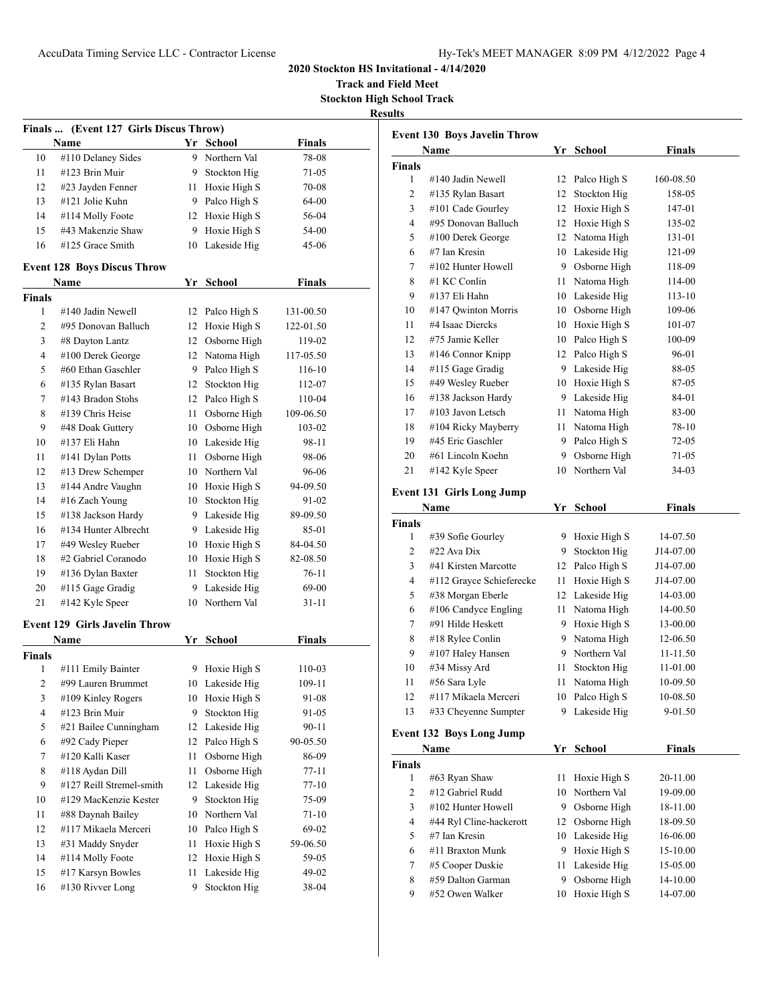**Track and Field Meet Stockton High School Track**

| н<br>ъ<br>- |
|-------------|
|             |

| Finals  (Event 127 Girls Discus Throw) |                                      |      |                 |               |  |  |
|----------------------------------------|--------------------------------------|------|-----------------|---------------|--|--|
|                                        | Name                                 |      | Yr School       | <b>Finals</b> |  |  |
| 10                                     | #110 Delaney Sides                   |      | 9 Northern Val  | 78-08         |  |  |
| 11                                     | #123 Brin Muir                       |      | 9 Stockton Hig  | 71-05         |  |  |
| 12                                     | #23 Jayden Fenner                    |      | 11 Hoxie High S | 70-08         |  |  |
| 13                                     | #121 Jolie Kuhn                      |      | 9 Palco High S  | 64-00         |  |  |
| 14                                     | #114 Molly Foote                     |      | 12 Hoxie High S | 56-04         |  |  |
| 15                                     | #43 Makenzie Shaw                    |      | 9 Hoxie High S  | 54-00         |  |  |
| 16                                     | #125 Grace Smith                     | 10   | Lakeside Hig    | 45-06         |  |  |
|                                        | <b>Event 128 Boys Discus Throw</b>   |      |                 |               |  |  |
|                                        | Name                                 |      | Yr School       | <b>Finals</b> |  |  |
| Finals                                 |                                      |      |                 |               |  |  |
| 1                                      | #140 Jadin Newell                    |      | 12 Palco High S | 131-00.50     |  |  |
| 2                                      | #95 Donovan Balluch                  |      | 12 Hoxie High S | 122-01.50     |  |  |
| 3                                      | #8 Dayton Lantz                      |      | 12 Osborne High | 119-02        |  |  |
| 4                                      | #100 Derek George                    |      | 12 Natoma High  | 117-05.50     |  |  |
| 5                                      | #60 Ethan Gaschler                   |      | 9 Palco High S  | 116-10        |  |  |
| 6                                      | #135 Rylan Basart                    |      | 12 Stockton Hig | 112-07        |  |  |
| 7                                      | #143 Bradon Stohs                    |      | 12 Palco High S | 110-04        |  |  |
| 8                                      | #139 Chris Heise                     |      | 11 Osborne High | 109-06.50     |  |  |
| 9                                      | #48 Doak Guttery                     |      | 10 Osborne High | 103-02        |  |  |
| 10                                     | #137 Eli Hahn                        |      | 10 Lakeside Hig | 98-11         |  |  |
| 11                                     | #141 Dylan Potts                     | 11 - | Osborne High    | 98-06         |  |  |
| 12                                     | #13 Drew Schemper                    |      | 10 Northern Val | 96-06         |  |  |
| 13                                     | #144 Andre Vaughn                    |      | 10 Hoxie High S | 94-09.50      |  |  |
| 14                                     | #16 Zach Young                       |      | 10 Stockton Hig | 91-02         |  |  |
| 15                                     | #138 Jackson Hardy                   |      | 9 Lakeside Hig  | 89-09.50      |  |  |
| 16                                     | #134 Hunter Albrecht                 |      | 9 Lakeside Hig  | 85-01         |  |  |
| 17                                     | #49 Wesley Rueber                    |      | 10 Hoxie High S | 84-04.50      |  |  |
| 18                                     | #2 Gabriel Coranodo                  |      | 10 Hoxie High S | 82-08.50      |  |  |
| 19                                     | #136 Dylan Baxter                    | 11   | Stockton Hig    | 76-11         |  |  |
| 20                                     | #115 Gage Gradig                     | 9.   | Lakeside Hig    | 69-00         |  |  |
| 21                                     | #142 Kyle Speer                      | 10   | Northern Val    | 31-11         |  |  |
|                                        | <b>Event 129 Girls Javelin Throw</b> |      |                 |               |  |  |
|                                        | <b>Name</b>                          | Yr   | <b>School</b>   | <b>Finals</b> |  |  |
|                                        |                                      |      |                 |               |  |  |
| Finals<br>1                            | #111 Emily Bainter                   | 9    | Hoxie High S    | 110-03        |  |  |
| $\overline{2}$                         | #99 Lauren Brummet                   | 10   | Lakeside Hig    | 109-11        |  |  |
| 3                                      | #109 Kinley Rogers                   | 10   | Hoxie High S    | 91-08         |  |  |
| 4                                      | #123 Brin Muir                       | 9    | Stockton Hig    | 91-05         |  |  |
| 5                                      | #21 Bailee Cunningham                | 12   | Lakeside Hig    | $90 - 11$     |  |  |
| 6                                      | #92 Cady Pieper                      | 12   | Palco High S    | 90-05.50      |  |  |
| 7                                      | #120 Kalli Kaser                     | 11   | Osborne High    | 86-09         |  |  |
| 8                                      | #118 Aydan Dill                      | 11   | Osborne High    | $77 - 11$     |  |  |
| 9                                      | #127 Reill Stremel-smith             | 12   | Lakeside Hig    | $77 - 10$     |  |  |
| 10                                     | #129 MacKenzie Kester                | 9    | Stockton Hig    | 75-09         |  |  |
| 11                                     | #88 Daynah Bailey                    | 10   | Northern Val    | $71 - 10$     |  |  |
| 12                                     | #117 Mikaela Merceri                 | 10   | Palco High S    | 69-02         |  |  |
| 13                                     | #31 Maddy Snyder                     | 11   | Hoxie High S    | 59-06.50      |  |  |
| 14                                     | #114 Molly Foote                     | 12   | Hoxie High S    | 59-05         |  |  |
| 15                                     | #17 Karsyn Bowles                    | 11   | Lakeside Hig    | 49-02         |  |  |
| 16                                     | #130 Rivver Long                     | 9    | Stockton Hig    | 38-04         |  |  |
|                                        |                                      |      |                 |               |  |  |

|               | <b>Event 130 Boys Javelin Throw</b> |    |                 |               |
|---------------|-------------------------------------|----|-----------------|---------------|
|               | Name                                |    | Yr School       | <b>Finals</b> |
| <b>Finals</b> |                                     |    |                 |               |
| 1             | #140 Jadin Newell                   | 12 | Palco High S    | 160-08.50     |
| 2             | #135 Rylan Basart                   |    | 12 Stockton Hig | 158-05        |
| 3             | #101 Cade Gourley                   |    | 12 Hoxie High S | 147-01        |
| 4             | #95 Donovan Balluch                 |    | 12 Hoxie High S | 135-02        |
| 5             | #100 Derek George                   |    | 12 Natoma High  | 131-01        |
| 6             | #7 Ian Kresin                       |    | 10 Lakeside Hig | 121-09        |
| 7             | #102 Hunter Howell                  |    | 9 Osborne High  | 118-09        |
| 8             | #1 KC Conlin                        |    | 11 Natoma High  | 114-00        |
| 9             | #137 Eli Hahn                       |    | 10 Lakeside Hig | 113-10        |
| 10            | #147 Qwinton Morris                 |    | 10 Osborne High | 109-06        |
| 11            | #4 Isaac Diercks                    |    | 10 Hoxie High S | 101-07        |
| 12            | #75 Jamie Keller                    |    | 10 Palco High S | 100-09        |
| 13            | #146 Connor Knipp                   |    | 12 Palco High S | 96-01         |
| 14            | #115 Gage Gradig                    |    | 9 Lakeside Hig  | 88-05         |
| 15            | #49 Wesley Rueber                   |    | 10 Hoxie High S | 87-05         |
| 16            | #138 Jackson Hardy                  |    | 9 Lakeside Hig  | 84-01         |
| 17            | #103 Javon Letsch                   |    | 11 Natoma High  | 83-00         |
| 18            | #104 Ricky Mayberry                 |    | 11 Natoma High  | 78-10         |
| 19            | #45 Eric Gaschler                   |    | 9 Palco High S  | $72-05$       |
| 20            | #61 Lincoln Koehn                   | 9. | Osborne High    | 71-05         |
| 21            | #142 Kyle Speer                     | 10 | Northern Val    | 34-03         |
|               |                                     |    |                 |               |
|               | <b>Event 131 Girls Long Jump</b>    |    |                 |               |
|               | Name                                |    | Yr School       | <b>Finals</b> |
| <b>Finals</b> |                                     |    |                 |               |
| 1             | #39 Sofie Gourley                   | 9  | Hoxie High S    | 14-07.50      |
| 2             | $#22$ Ava Dix                       | 9  | Stockton Hig    | J14-07.00     |
| 3             | #41 Kirsten Marcotte                | 12 | Palco High S    | J14-07.00     |
| 4             | #112 Grayce Schieferecke            | 11 | Hoxie High S    | J14-07.00     |
| 5             | #38 Morgan Eberle                   |    | 12 Lakeside Hig | 14-03.00      |
| 6             | #106 Candyce Engling                |    | 11 Natoma High  | 14-00.50      |
| 7             | #91 Hilde Heskett                   |    | 9 Hoxie High S  | 13-00.00      |
| 8             | #18 Rylee Conlin                    |    | 9 Natoma High   | 12-06.50      |
| 9             | #107 Haley Hansen                   | 9. | Northern Val    | 11-11.50      |
| 10            | #34 Missy Ard                       | 11 | Stockton Hig    | 11-01.00      |
| 11            | #56 Sara Lyle                       |    | 11 Natoma High  | 10-09.50      |
| 12            | #117 Mikaela Merceri                |    | 10 Palco High S | 10-08.50      |
| 13            | #33 Cheyenne Sumpter                | 9  | Lakeside Hig    | 9-01.50       |
|               | <b>Event 132 Boys Long Jump</b>     |    |                 |               |
|               |                                     |    |                 |               |
|               | Name                                |    | Yr School       | <b>Finals</b> |
| Finals        |                                     |    |                 |               |
| 1             | #63 Ryan Shaw                       | 11 | Hoxie High S    | 20-11.00      |
| 2             | #12 Gabriel Rudd                    | 10 | Northern Val    | 19-09.00      |
| 3             | #102 Hunter Howell                  | 9. | Osborne High    | 18-11.00      |
| 4             | #44 Ryl Cline-hackerott             | 12 | Osborne High    | 18-09.50      |
| 5             | #7 Ian Kresin                       | 10 | Lakeside Hig    | 16-06.00      |
| 6             | #11 Braxton Munk                    | 9  | Hoxie High S    | 15-10.00      |

 #5 Cooper Duskie 11 Lakeside Hig 15-05.00 #59 Dalton Garman 9 Osborne High 14-10.00 #52 Owen Walker 10 Hoxie High S 14-07.00